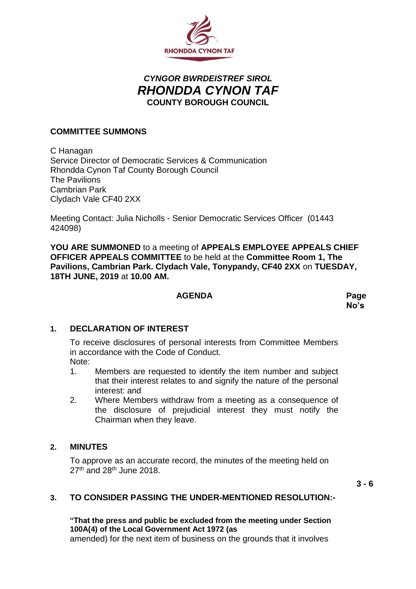

# *CYNGOR BWRDEISTREF SIROL RHONDDA CYNON TAF* **COUNTY BOROUGH COUNCIL**

#### **COMMITTEE SUMMONS**

C Hanagan Service Director of Democratic Services & Communication Rhondda Cynon Taf County Borough Council The Pavilions Cambrian Park Clydach Vale CF40 2XX

Meeting Contact: Julia Nicholls - Senior Democratic Services Officer (01443 424098)

**YOU ARE SUMMONED** to a meeting of **APPEALS EMPLOYEE APPEALS CHIEF OFFICER APPEALS COMMITTEE** to be held at the **Committee Room 1, The Pavilions, Cambrian Park. Clydach Vale, Tonypandy, CF40 2XX** on **TUESDAY, 18TH JUNE, 2019** at **10.00 AM.**

#### **AGENDA Page**

**No's**

#### **1. DECLARATION OF INTEREST**

To receive disclosures of personal interests from Committee Members in accordance with the Code of Conduct. Note:

- 1. Members are requested to identify the item number and subject that their interest relates to and signify the nature of the personal interest: and
- 2. Where Members withdraw from a meeting as a consequence of the disclosure of prejudicial interest they must notify the Chairman when they leave.

#### **2. MINUTES**

To approve as an accurate record, the minutes of the meeting held on  $27<sup>th</sup>$  and  $28<sup>th</sup>$  June 2018.

**3 - 6**

#### **3. TO CONSIDER PASSING THE UNDER-MENTIONED RESOLUTION:-**

## **"That the press and public be excluded from the meeting under Section 100A(4) of the Local Government Act 1972 (as**

amended) for the next item of business on the grounds that it involves